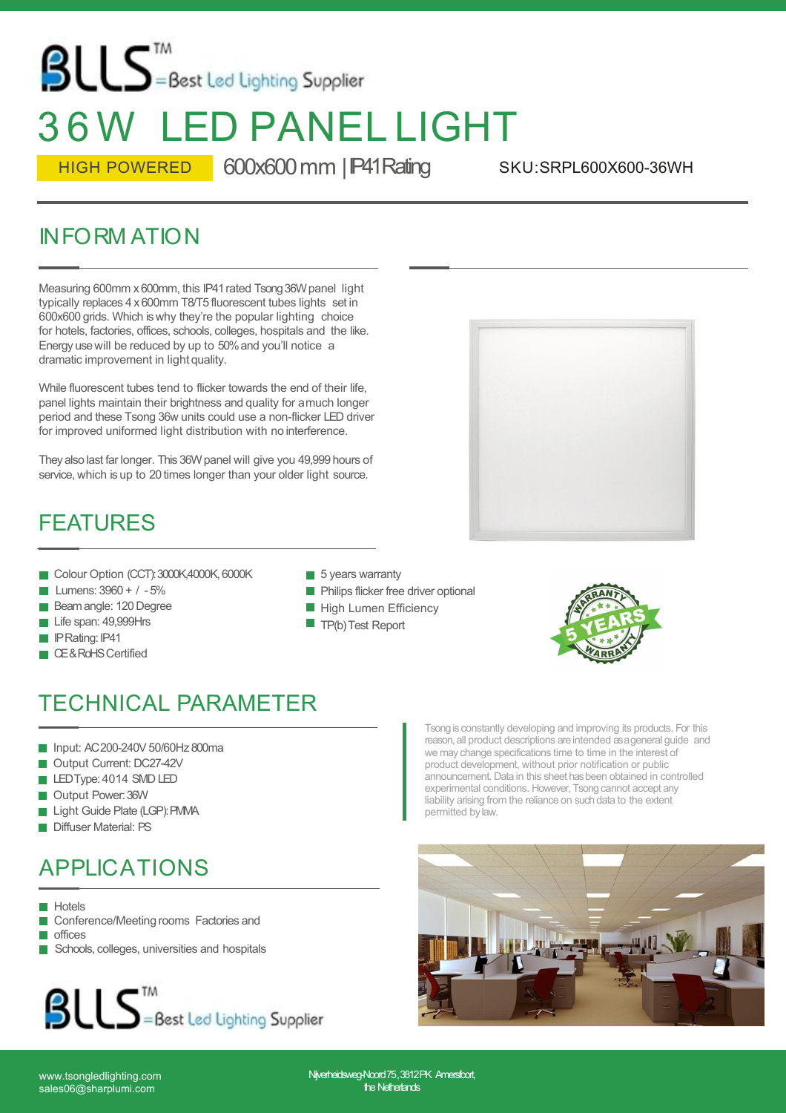# $\text{BUS}^{\text{TM}}$  = Best Led Lighting Supplier 3 6 W LED PANEL LIGHT

HIGH POWERED 600x600 mm | P41 Rating

SKU:SRPL600X600-36WH

#### INFORM ATION

Measuring 600mm x 600mm, this IP41 rated Tsong 36W panel light typically replaces 4 x600mm T8/T5 fluorescent tubes lights setin 600x600 grids. Which is why they're the popular lighting choice for hotels, factories, offices, schools, colleges, hospitals and the like. Energy usewill be reduced by up to 50%and you'll notice a dramatic improvement in light quality.<br>While fluorescent tubes tend to flicker towards the end of their life,

panel lights maintain their brightness and quality for amuch longer period and these Tsong 36w units could use a non-flicker LED driver for improved uniformed light distribution with no interference. The Hights maintain their brightness and quality for a much longer<br>
iod and these Tsong 36w units could use a non-flicker LED driver<br>
improved uniformed light distribution with no interference.<br>
by also last far longer. Th

They also last far longer. This 36W panel will give you 49,999 hours of service, which is up to 20 times longer than your older light source. Inproved uniformed light distribution with no interference.<br>
EATURES<br>
Colour Option (CCT):300K,4000K,6000K<br>
Lumens: 3960 + / -5%<br>
Beam angle: 120 Degree<br>
PRating: P41<br>
PRating: P41<br>
PRating: P41<br>
PRating: P41 mproved uniformed right distribution with no interies<br>by also last far longer. This 36W panel will give you 49,4<br>vice, which is up to 20 times longer than your older light<br>EATURES<br>Colour Option (CCT): 3000K,4000K, 6000K<br>Lu ey also last far longer. This 36W panel will give y<br>vice, which is up to 20 times longer than your of<br>**EATURES**<br>Colour Option (CCT): 3000K,4000K, 6000K<br>Lumens: 3960 + / -5%<br>Beam angle: 120 Degree<br>Life span: 49,999Hrs<br>IPRat

#### FEATURES

- 
- 
- 
- 
- **PRating: IP41**
- CE&RoHS Certified
- $\blacksquare$  5 years warranty
- **Philips flicker free driver optional**
- **High Lumen Efficiency**
- $\blacksquare$  TP(b) Test Report





## TECHNICAL PARAMETER Colour Option (CCI): 3000K,4000K, 6000K<br>
Lumens: 3960 + / -5%<br>
Beam angle: 120 Degree<br>
Life span: 49,999Hrs<br>
Life span: 49,999Hrs<br>
IPRating: IP41<br>
CE&RoHS Certified<br>
ECHNICAL PARAMETER<br>
Input: AC200-240V 50/60Hz 800ma<br>
Out Lumens: 3960 + / - 5%<br>
Beam angle: 120 Degree<br>
Life span: 49,999Hrs<br>
IPRating: IP41<br>
CE&RoHS Certified<br>
ECHNICAL PARAMETER<br>
Input: AC200-240V 50/60Hz 800ma<br>
Output Current: DC27-42V<br>
LEDType: 4014 SMD LED<br>
Output Power: 36 Beam angle: 120 Degree<br>
Life span: 49,999Hrs<br>
IPRating: IP41<br>
CE&RoHS Certified<br>
ECHNICAL PARAMETER<br>
Input: AC200-240V 50/60Hz 800ma<br>
Output Current: DC27-42V<br>
LEDType: 4014 SMD LED<br>
Output Power: 36W<br>
Light Guide Plate (L Life span: 49,999Hrs<br>
IPRating: IP41<br>
CE&RoHS Certified<br> **ECHNICAL PARAMETER**<br>
Input: AC200-240V 50/60Hz 800ma<br>
Output Current: DC27-42V<br>
LEDType: 4014 SMD LED<br>
Output Power: 36W<br>
Light Guide Plate (LGP): FMMA<br>
Diffuser Ma PRating: IP41<br>CE&RoHS Certified<br> **ECHNICAL PARAMETER**<br>
Input: AC200-240V 50/60Hz 800ma<br>
Output Current: DC27-42V<br>
LEDType: 4014 SMD LED<br>
Output Power: 36W<br>
Light Guide Plate (LGP): PMMA<br>
Diffuser Material: PS<br>
PPIIC ATIONS GE&ROHSCertified<br>
ECHNICAL PARAMETER<br>
Input: AC200-240V 50/60Hz 800ma<br>
Output Current: DC27-42V<br>
LEDType: 4014 SMD LED<br>
Output Power: 36W<br>
Light Guide Plate (LGP): PMMA<br>
Diffuser Material: PS<br>
PPLICATIONS

- 
- 
- 
- 
- 
- 

#### APPLICATIONS

**Hotels** 

- Conference/Meeting rooms Factories and
- **n** offices
- Schools, colleges, universities and hospitals



Tsong is constantly developing and improving its products. For this reason,all product descriptions areintended asageneral guide and we may change specifications time to time in the interest of product development, without prior notification or public announcement. Data in this sheet hasbeen obtained in controlled experimental conditions. However, Tsong cannot accept any liability arising from the reliance on such data to the extent permitted bylaw.



sales06@sharplumi.com

www.tsongledlighting.com N**ijverheidsweg-Noord**75,3812PK Amer**sfoot,**<br>sales06@sharplumi.com the Netherlands